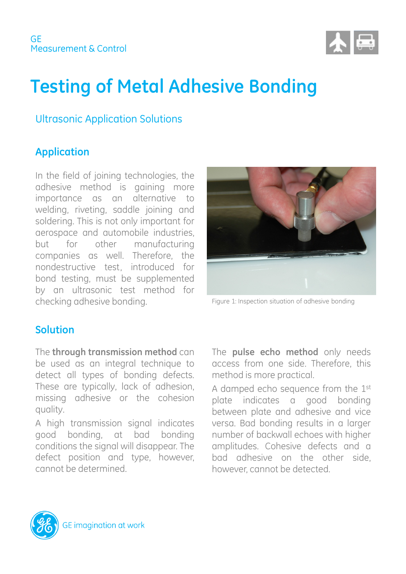

# **Testing of Metal Adhesive Bonding**

#### Ultrasonic Application Solutions

#### **Application**

In the field of joining technologies, the adhesive method is gaining more importance as an alternative to welding, riveting, saddle joining and soldering. This is not only important for aerospace and automobile industries, but for other manufacturing companies as well. Therefore, the nondestructive test, introduced for bond testing, must be supplemented by an ultrasonic test method for checking adhesive bonding.



Figure 1: Inspection situation of adhesive bonding

#### **Solution**

The **through transmission method** can be used as an integral technique to detect all types of bonding defects. These are typically, lack of adhesion, missing adhesive or the cohesion quality.

A high transmission signal indicates good bonding, at bad bonding conditions the signal will disappear. The defect position and type, however, cannot be determined.

The **pulse echo method** only needs access from one side. Therefore, this method is more practical.

A damped echo sequence from the 1st plate indicates a good bonding between plate and adhesive and vice versa. Bad bonding results in a larger number of backwall echoes with higher amplitudes. Cohesive defects and a bad adhesive on the other side, however, cannot be detected.